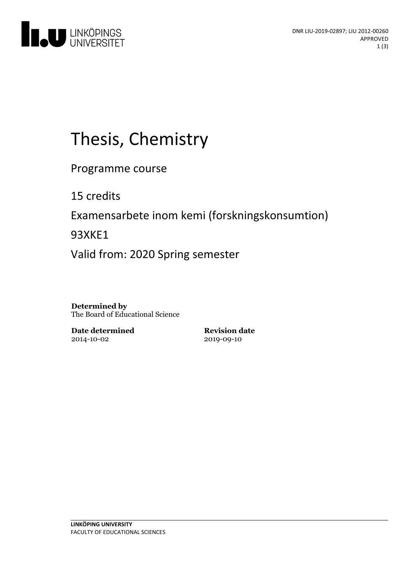

# Thesis, Chemistry

Programme course

15 credits

Examensarbete inom kemi (forskningskonsumtion)

93XKE1

Valid from: 2020 Spring semester

**Determined by** The Board of Educational Science

**Date determined** 2014-10-02

**Revision date** 2019-09-10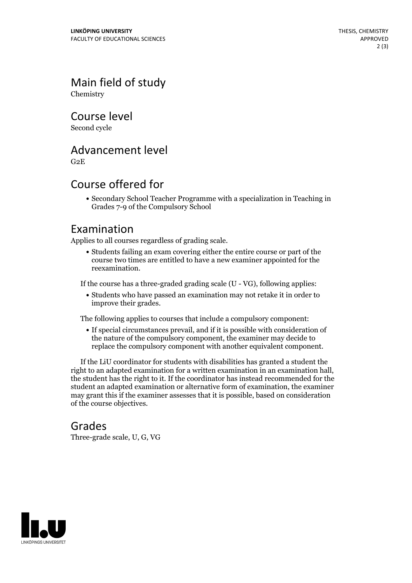Main field of study Chemistry

Course level

Second cycle

#### Advancement level

G2E

### Course offered for

Secondary School Teacher Programme with a specialization in Teaching in Grades 7-9 of the Compulsory School

#### Examination

Applies to all courses regardless of grading scale.

Students failing an exam covering either the entire course or part of the course two times are entitled to have a new examiner appointed for the reexamination.

If the course has a three-graded grading scale (U - VG), following applies:

Students who have passed an examination may not retake it in order to improve their grades.

The following applies to courses that include a compulsory component:

If special circumstances prevail, and if it is possible with consideration of the nature of the compulsory component, the examiner may decide to replace the compulsory component with another equivalent component.

If the LiU coordinator for students with disabilities has granted a student the right to an adapted examination for <sup>a</sup> written examination in an examination hall, the student has the right to it. If the coordinator has instead recommended for the student an adapted examination or alternative form of examination, the examiner may grant this if the examiner assesses that it is possible, based on consideration of the course objectives.

#### Grades

Three-grade scale, U, G, VG